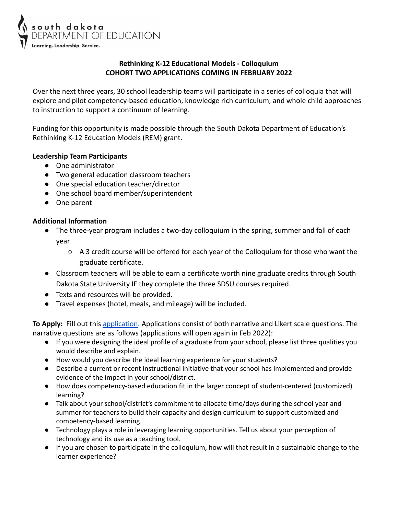

## **Rethinking K-12 Educational Models - Colloquium COHORT TWO APPLICATIONS COMING IN FEBRUARY 2022**

Over the next three years, 30 school leadership teams will participate in a series of colloquia that will explore and pilot competency-based education, knowledge rich curriculum, and whole child approaches to instruction to support a continuum of learning.

Funding for this opportunity is made possible through the South Dakota Department of Education's Rethinking K-12 Education Models (REM) grant.

## **Leadership Team Participants**

- One administrator
- Two general education classroom teachers
- One special education teacher/director
- One school board member/superintendent
- One parent

## **Additional Information**

- The three-year program includes a two-day colloquium in the spring, summer and fall of each year.
	- $\circ$  A 3 credit course will be offered for each year of the Colloquium for those who want the graduate certificate.
- Classroom teachers will be able to earn a certificate worth nine graduate credits through South Dakota State University IF they complete the three SDSU courses required.
- Texts and resources will be provided.
- Travel expenses (hotel, meals, and mileage) will be included.

**To Apply:** Fill out this [application](https://forms.gle/2A7fVRsYpdGzTPtdA). Applications consist of both narrative and Likert scale questions. The narrative questions are as follows (applications will open again in Feb 2022):

- If you were designing the ideal profile of a graduate from your school, please list three qualities you would describe and explain.
- How would you describe the ideal learning experience for your students?
- Describe a current or recent instructional initiative that your school has implemented and provide evidence of the impact in your school/district.
- How does competency-based education fit in the larger concept of student-centered (customized) learning?
- Talk about your school/district's commitment to allocate time/days during the school year and summer for teachers to build their capacity and design curriculum to support customized and competency-based learning.
- Technology plays a role in leveraging learning opportunities. Tell us about your perception of technology and its use as a teaching tool.
- If you are chosen to participate in the colloquium, how will that result in a sustainable change to the learner experience?